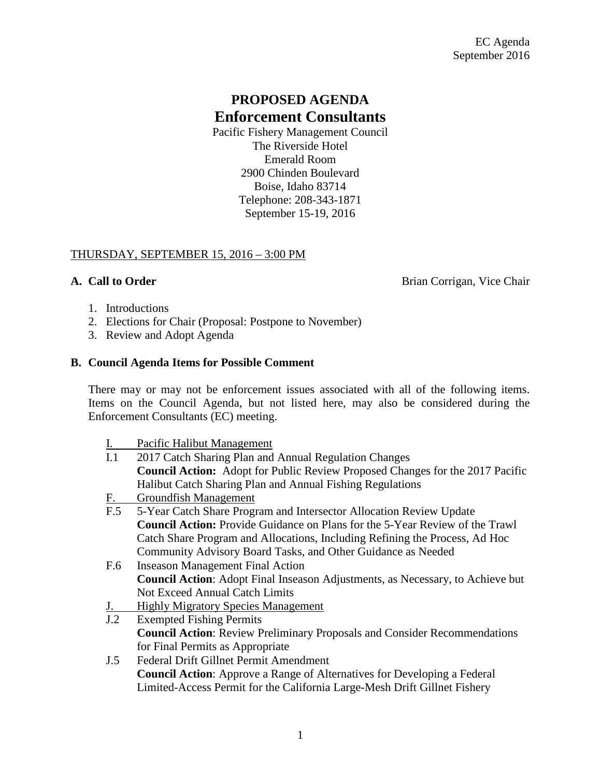# **PROPOSED AGENDA Enforcement Consultants**

Pacific Fishery Management Council The Riverside Hotel Emerald Room 2900 Chinden Boulevard Boise, Idaho 83714 Telephone: 208-343-1871 September 15-19, 2016

## THURSDAY, SEPTEMBER 15, 2016 – 3:00 PM

**A. Call to Order** Brian Corrigan, Vice Chair

- 1. Introductions
- 2. Elections for Chair (Proposal: Postpone to November)
- 3. Review and Adopt Agenda

#### **B. Council Agenda Items for Possible Comment**

There may or may not be enforcement issues associated with all of the following items. Items on the Council Agenda, but not listed here, may also be considered during the Enforcement Consultants (EC) meeting.

I. Pacific Halibut Management

| I.1       | 2017 Catch Sharing Plan and Annual Regulation Changes                                 |
|-----------|---------------------------------------------------------------------------------------|
|           | <b>Council Action:</b> Adopt for Public Review Proposed Changes for the 2017 Pacific  |
|           | Halibut Catch Sharing Plan and Annual Fishing Regulations                             |
| <u>F.</u> | <b>Groundfish Management</b>                                                          |
| F.5       | 5-Year Catch Share Program and Intersector Allocation Review Update                   |
|           | <b>Council Action:</b> Provide Guidance on Plans for the 5-Year Review of the Trawl   |
|           | Catch Share Program and Allocations, Including Refining the Process, Ad Hoc           |
|           | Community Advisory Board Tasks, and Other Guidance as Needed                          |
| F.6       | <b>Inseason Management Final Action</b>                                               |
|           | <b>Council Action:</b> Adopt Final Inseason Adjustments, as Necessary, to Achieve but |
|           | <b>Not Exceed Annual Catch Limits</b>                                                 |
| <u>J.</u> | <b>Highly Migratory Species Management</b>                                            |
| J.2       | <b>Exempted Fishing Permits</b>                                                       |
|           | <b>Council Action:</b> Review Preliminary Proposals and Consider Recommendations      |
|           | for Final Permits as Appropriate                                                      |
| J.5       | Federal Drift Gillnet Permit Amendment                                                |
|           | <b>Council Action:</b> Approve a Range of Alternatives for Developing a Federal       |
|           | Limited-Access Permit for the California Large-Mesh Drift Gillnet Fishery             |